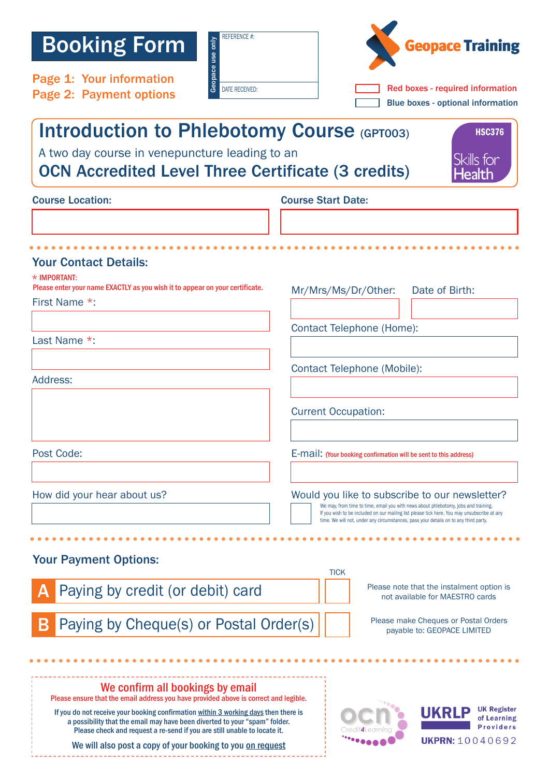## Booking Form

Page 1: Your information

| only.<br>use<br>apapace | <b>REFERENCE #:</b>   |
|-------------------------|-----------------------|
|                         | <b>DATE RECEIVED:</b> |



| Blue boxes - optional information |  |
|-----------------------------------|--|
|-----------------------------------|--|

## Introduction to Phlebotomy Course (GPT003)

A two day course in venepuncture leading to an

OCN Accredited Level Three Certificate (3 credits)

HSC376Skills for ealtl

| <b>Course Location:</b> |  |
|-------------------------|--|

## Course Start Date:

| <b>Your Contact Details:</b><br>* IMPORTANT:<br>Please enter your name EXACTLY as you wish it to appear on your certificate.<br>First Name *: | Date of Birth:<br>Mr/Mrs/Ms/Dr/Other:                                                                                                                                                                                                                                                                                        |  |  |  |
|-----------------------------------------------------------------------------------------------------------------------------------------------|------------------------------------------------------------------------------------------------------------------------------------------------------------------------------------------------------------------------------------------------------------------------------------------------------------------------------|--|--|--|
|                                                                                                                                               |                                                                                                                                                                                                                                                                                                                              |  |  |  |
| Last Name *:                                                                                                                                  | <b>Contact Telephone (Home):</b>                                                                                                                                                                                                                                                                                             |  |  |  |
|                                                                                                                                               |                                                                                                                                                                                                                                                                                                                              |  |  |  |
| Address:                                                                                                                                      | <b>Contact Telephone (Mobile):</b>                                                                                                                                                                                                                                                                                           |  |  |  |
|                                                                                                                                               |                                                                                                                                                                                                                                                                                                                              |  |  |  |
|                                                                                                                                               | <b>Current Occupation:</b>                                                                                                                                                                                                                                                                                                   |  |  |  |
|                                                                                                                                               |                                                                                                                                                                                                                                                                                                                              |  |  |  |
| Post Code:                                                                                                                                    | E-mail: (Your booking confirmation will be sent to this address)                                                                                                                                                                                                                                                             |  |  |  |
|                                                                                                                                               |                                                                                                                                                                                                                                                                                                                              |  |  |  |
| How did your hear about us?                                                                                                                   | Would you like to subscribe to our newsletter?<br>We may, from time to time, email you with news about phlebotomy, jobs and training.<br>If you wish to be included on our mailing list please tick here. You may unsubscribe at any<br>time. We will not, under any circumstances, pass your details on to any third party. |  |  |  |
|                                                                                                                                               |                                                                                                                                                                                                                                                                                                                              |  |  |  |
| <b>Your Payment Options:</b>                                                                                                                  |                                                                                                                                                                                                                                                                                                                              |  |  |  |
|                                                                                                                                               | <b>TICK</b>                                                                                                                                                                                                                                                                                                                  |  |  |  |
| Paying by credit (or debit) card                                                                                                              | Please note that the instalment option is<br>not available for MAESTRO cards                                                                                                                                                                                                                                                 |  |  |  |
| Paying by Cheque(s) or Postal Order(s)                                                                                                        | Please make Cheques or Postal Orders<br>payable to: GEOPACE LIMITED                                                                                                                                                                                                                                                          |  |  |  |
|                                                                                                                                               |                                                                                                                                                                                                                                                                                                                              |  |  |  |
|                                                                                                                                               |                                                                                                                                                                                                                                                                                                                              |  |  |  |
| We confirm all hookings by smail                                                                                                              |                                                                                                                                                                                                                                                                                                                              |  |  |  |

We confirm all bookings by email Please ensure that the email address you have provided above is correct and legible.

If you do not receive your booking confirmation within 3 working days then there is a possibility that the email may have been diverted to your "spam" folder. Please check and request a re-send if you are still unable to locate it.

We will also post a copy of your booking to you on request